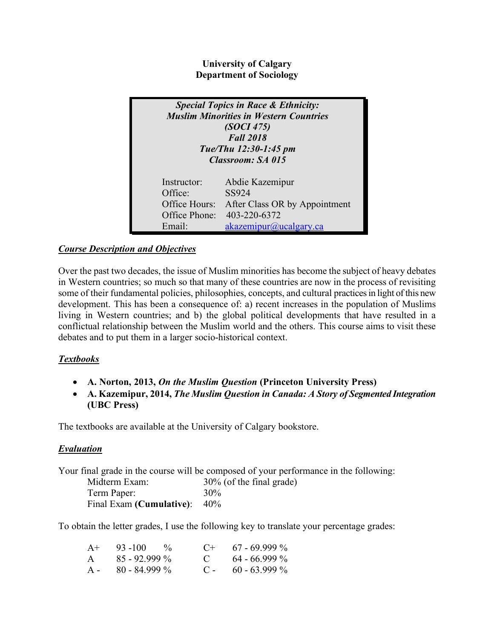**University of Calgary Department of Sociology**

| <b>Special Topics in Race &amp; Ethnicity:</b><br><b>Muslim Minorities in Western Countries</b><br>(SOCI 475)<br><b>Fall 2018</b><br>Tue/Thu 12:30-1:45 pm<br>Classroom: SA 015 |                               |  |  |
|---------------------------------------------------------------------------------------------------------------------------------------------------------------------------------|-------------------------------|--|--|
| Instructor:                                                                                                                                                                     | Abdie Kazemipur               |  |  |
| Office:                                                                                                                                                                         | SS924                         |  |  |
| Office Hours:                                                                                                                                                                   | After Class OR by Appointment |  |  |
| Office Phone:                                                                                                                                                                   | 403-220-6372                  |  |  |
| Email                                                                                                                                                                           | akazemipur@ucalgary.ca        |  |  |

# *Course Description and Objectives*

Over the past two decades, the issue of Muslim minorities has become the subject of heavy debates in Western countries; so much so that many of these countries are now in the process of revisiting some of their fundamental policies, philosophies, concepts, and cultural practices in light of this new development. This has been a consequence of: a) recent increases in the population of Muslims living in Western countries; and b) the global political developments that have resulted in a conflictual relationship between the Muslim world and the others. This course aims to visit these debates and to put them in a larger socio-historical context.

# *Textbooks*

- **A. Norton, 2013,** *On the Muslim Question* **(Princeton University Press)**
- **A. Kazemipur, 2014,** *The Muslim Question in Canada: A Story of Segmented Integration* **(UBC Press)**

The textbooks are available at the University of Calgary bookstore.

# *Evaluation*

Your final grade in the course will be composed of your performance in the following:

| Midterm Exam:                   | 30% (of the final grade) |
|---------------------------------|--------------------------|
| Term Paper:                     | 30%                      |
| Final Exam (Cumulative): $40\%$ |                          |

To obtain the letter grades, I use the following key to translate your percentage grades:

| $A+$         | $93 - 100 = %$  | $($ +             | $67 - 69999\%$  |
|--------------|-----------------|-------------------|-----------------|
| $\mathsf{A}$ | $85 - 92.999\%$ | $\mathbf{C}$      | $64 - 66.999\%$ |
| $A -$        | $80 - 84999\%$  | $\sim$ C = $\sim$ | $60 - 63.999\%$ |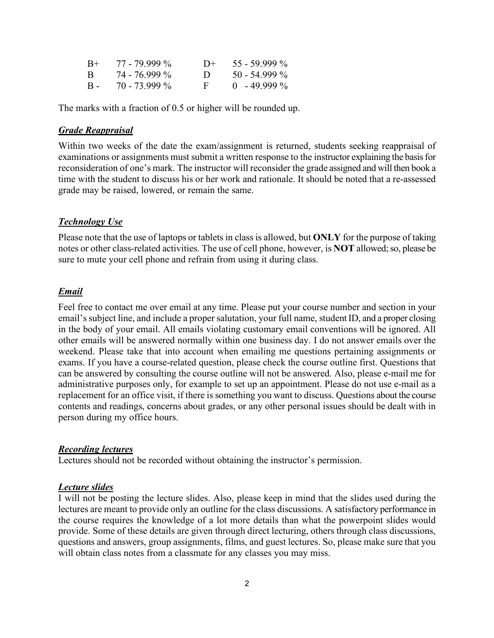| $B+$       | $77 - 79999\%$ | $1+$           | $55 - 59.999\%$ |
|------------|----------------|----------------|-----------------|
| B.         | 74 - 76,999 %  | $\blacksquare$ | $50 - 54.999\%$ |
| <b>B</b> - | $70 - 73999\%$ | Е.             | $0.49.999\%$    |

The marks with a fraction of 0.5 or higher will be rounded up.

#### *Grade Reappraisal*

Within two weeks of the date the exam/assignment is returned, students seeking reappraisal of examinations or assignments must submit a written response to the instructor explaining the basis for reconsideration of one's mark. The instructor will reconsider the grade assigned and will then book a time with the student to discuss his or her work and rationale. It should be noted that a re-assessed grade may be raised, lowered, or remain the same.

#### *Technology Use*

Please note that the use of laptops or tablets in class is allowed, but **ONLY** for the purpose of taking notes or other class-related activities. The use of cell phone, however, is **NOT** allowed; so, please be sure to mute your cell phone and refrain from using it during class.

#### *Email*

Feel free to contact me over email at any time. Please put your course number and section in your email's subject line, and include a proper salutation, your full name, student ID, and a proper closing in the body of your email. All emails violating customary email conventions will be ignored. All other emails will be answered normally within one business day. I do not answer emails over the weekend. Please take that into account when emailing me questions pertaining assignments or exams. If you have a course-related question, please check the course outline first. Questions that can be answered by consulting the course outline will not be answered. Also, please e-mail me for administrative purposes only, for example to set up an appointment. Please do not use e-mail as a replacement for an office visit, if there is something you want to discuss. Questions about the course contents and readings, concerns about grades, or any other personal issues should be dealt with in person during my office hours.

#### *Recording lectures*

Lectures should not be recorded without obtaining the instructor's permission.

#### *Lecture slides*

I will not be posting the lecture slides. Also, please keep in mind that the slides used during the lectures are meant to provide only an outline for the class discussions. A satisfactory performance in the course requires the knowledge of a lot more details than what the powerpoint slides would provide. Some of these details are given through direct lecturing, others through class discussions, questions and answers, group assignments, films, and guest lectures. So, please make sure that you will obtain class notes from a classmate for any classes you may miss.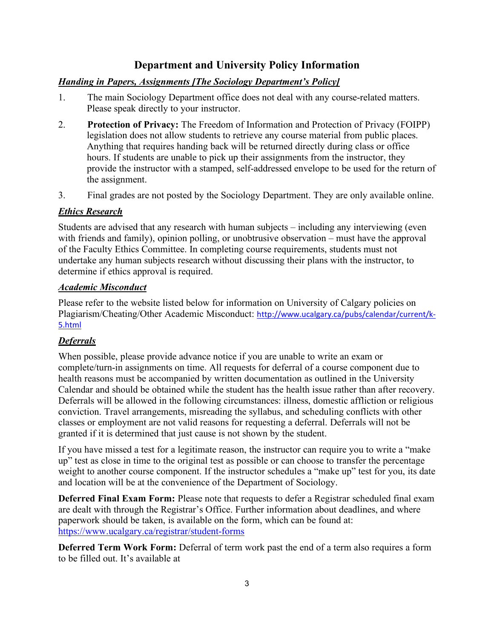# **Department and University Policy Information**

# *Handing in Papers, Assignments [The Sociology Department's Policy]*

- 1. The main Sociology Department office does not deal with any course-related matters. Please speak directly to your instructor.
- 2. **Protection of Privacy:** The Freedom of Information and Protection of Privacy (FOIPP) legislation does not allow students to retrieve any course material from public places. Anything that requires handing back will be returned directly during class or office hours. If students are unable to pick up their assignments from the instructor, they provide the instructor with a stamped, self-addressed envelope to be used for the return of the assignment.
- 3. Final grades are not posted by the Sociology Department. They are only available online.

### *Ethics Research*

Students are advised that any research with human subjects – including any interviewing (even with friends and family), opinion polling, or unobtrusive observation – must have the approval of the Faculty Ethics Committee. In completing course requirements, students must not undertake any human subjects research without discussing their plans with the instructor, to determine if ethics approval is required.

### *Academic Misconduct*

Please refer to the website listed below for information on University of Calgary policies on Plagiarism/Cheating/Other Academic Misconduct: http://www.ucalgary.ca/pubs/calendar/current/k-5.html

# *Deferrals*

When possible, please provide advance notice if you are unable to write an exam or complete/turn-in assignments on time. All requests for deferral of a course component due to health reasons must be accompanied by written documentation as outlined in the University Calendar and should be obtained while the student has the health issue rather than after recovery. Deferrals will be allowed in the following circumstances: illness, domestic affliction or religious conviction. Travel arrangements, misreading the syllabus, and scheduling conflicts with other classes or employment are not valid reasons for requesting a deferral. Deferrals will not be granted if it is determined that just cause is not shown by the student.

If you have missed a test for a legitimate reason, the instructor can require you to write a "make up" test as close in time to the original test as possible or can choose to transfer the percentage weight to another course component. If the instructor schedules a "make up" test for you, its date and location will be at the convenience of the Department of Sociology.

**Deferred Final Exam Form:** Please note that requests to defer a Registrar scheduled final exam are dealt with through the Registrar's Office. Further information about deadlines, and where paperwork should be taken, is available on the form, which can be found at: https://www.ucalgary.ca/registrar/student-forms

**Deferred Term Work Form:** Deferral of term work past the end of a term also requires a form to be filled out. It's available at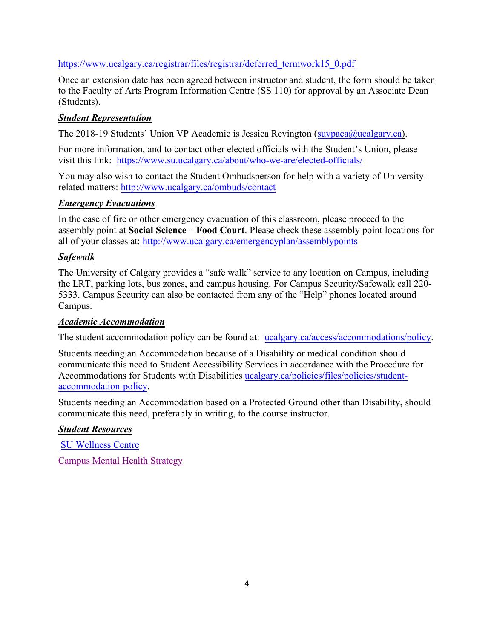# https://www.ucalgary.ca/registrar/files/registrar/deferred\_termwork15\_0.pdf

Once an extension date has been agreed between instructor and student, the form should be taken to the Faculty of Arts Program Information Centre (SS 110) for approval by an Associate Dean (Students).

### *Student Representation*

The 2018-19 Students' Union VP Academic is Jessica Revington (suvpaca@ucalgary.ca).

For more information, and to contact other elected officials with the Student's Union, please visit this link: https://www.su.ucalgary.ca/about/who-we-are/elected-officials/

You may also wish to contact the Student Ombudsperson for help with a variety of Universityrelated matters: http://www.ucalgary.ca/ombuds/contact

### *Emergency Evacuations*

In the case of fire or other emergency evacuation of this classroom, please proceed to the assembly point at **Social Science – Food Court**. Please check these assembly point locations for all of your classes at: http://www.ucalgary.ca/emergencyplan/assemblypoints

### *Safewalk*

The University of Calgary provides a "safe walk" service to any location on Campus, including the LRT, parking lots, bus zones, and campus housing. For Campus Security/Safewalk call 220- 5333. Campus Security can also be contacted from any of the "Help" phones located around Campus.

#### *Academic Accommodation*

The student accommodation policy can be found at: ucalgary.ca/access/accommodations/policy.

Students needing an Accommodation because of a Disability or medical condition should communicate this need to Student Accessibility Services in accordance with the Procedure for Accommodations for Students with Disabilities ucalgary.ca/policies/files/policies/studentaccommodation-policy.

Students needing an Accommodation based on a Protected Ground other than Disability, should communicate this need, preferably in writing, to the course instructor.

# *Student Resources*

SU Wellness Centre Campus Mental Health Strategy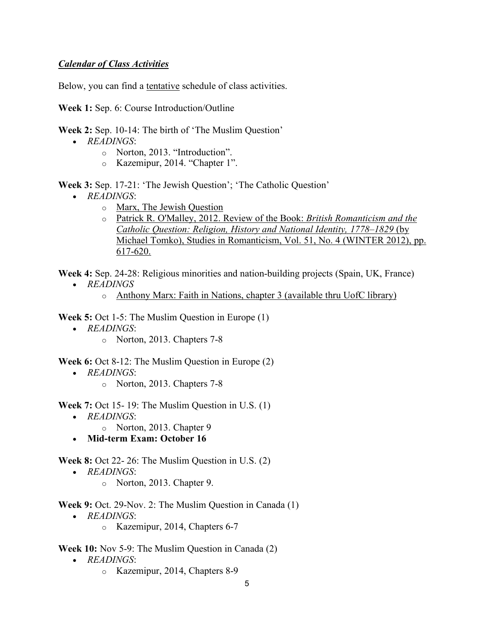### *Calendar of Class Activities*

Below, you can find a tentative schedule of class activities.

**Week 1:** Sep. 6: Course Introduction/Outline

- **Week 2:** Sep. 10-14: The birth of 'The Muslim Question'
	- *READINGS*:
		- o Norton, 2013. "Introduction".
		- o Kazemipur, 2014. "Chapter 1".

**Week 3:** Sep. 17-21: 'The Jewish Question'; 'The Catholic Question'

- *READINGS*:
	- o Marx, The Jewish Question
	- o Patrick R. O'Malley, 2012. Review of the Book: *British Romanticism and the Catholic Question: Religion, History and National Identity, 1778–1829* (by Michael Tomko), Studies in Romanticism, Vol. 51, No. 4 (WINTER 2012), pp. 617-620.

**Week 4:** Sep. 24-28: Religious minorities and nation-building projects (Spain, UK, France)

- *READINGS*
	- o Anthony Marx: Faith in Nations, chapter 3 (available thru UofC library)

**Week 5:** Oct 1-5: The Muslim Question in Europe (1)

- *READINGS*:
	- o Norton, 2013. Chapters 7-8

**Week 6:** Oct 8-12: The Muslim Question in Europe (2)

- *READINGS*:
	- o Norton, 2013. Chapters 7-8

**Week 7:** Oct 15- 19: The Muslim Question in U.S. (1)

- *READINGS*:
	- o Norton, 2013. Chapter 9
- **Mid-term Exam: October 16**

**Week 8:** Oct 22- 26: The Muslim Question in U.S. (2)

- *READINGS*:
	- o Norton, 2013. Chapter 9.

**Week 9:** Oct. 29-Nov. 2: The Muslim Question in Canada (1)

- *READINGS*:
	- o Kazemipur, 2014, Chapters 6-7

**Week 10:** Nov 5-9: The Muslim Question in Canada (2)

- *READINGS*:
	- o Kazemipur, 2014, Chapters 8-9